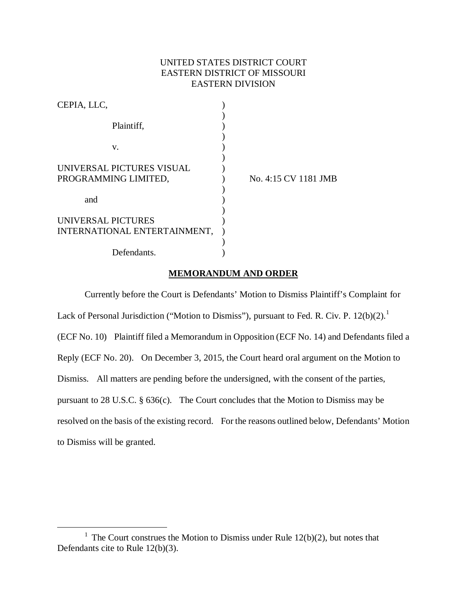# UNITED STATES DISTRICT COURT EASTERN DISTRICT OF MISSOURI EASTERN DIVISION

| CEPIA, LLC,                  |                      |
|------------------------------|----------------------|
| Plaintiff,                   |                      |
| V.                           |                      |
| UNIVERSAL PICTURES VISUAL    |                      |
| PROGRAMMING LIMITED,         | No. 4:15 CV 1181 JMB |
| and                          |                      |
| UNIVERSAL PICTURES           |                      |
| INTERNATIONAL ENTERTAINMENT, |                      |
| Defendants.                  |                      |

## **MEMORANDUM AND ORDER**

Currently before the Court is Defendants' Motion to Dismiss Plaintiff's Complaint for Lack of Personal Jurisdiction ("Motion to Dismiss"), pursuant to Fed. R. Civ. P.  $12(b)(2)$  $12(b)(2)$ .<sup>1</sup> (ECF No. 10) Plaintiff filed a Memorandum in Opposition (ECF No. 14) and Defendants filed a Reply (ECF No. 20). On December 3, 2015, the Court heard oral argument on the Motion to Dismiss. All matters are pending before the undersigned, with the consent of the parties, pursuant to 28 U.S.C. § 636(c). The Court concludes that the Motion to Dismiss may be resolved on the basis of the existing record. For the reasons outlined below, Defendants' Motion to Dismiss will be granted.

<span id="page-0-0"></span><sup>&</sup>lt;sup>1</sup> The Court construes the Motion to Dismiss under Rule  $12(b)(2)$ , but notes that Defendants cite to Rule 12(b)(3).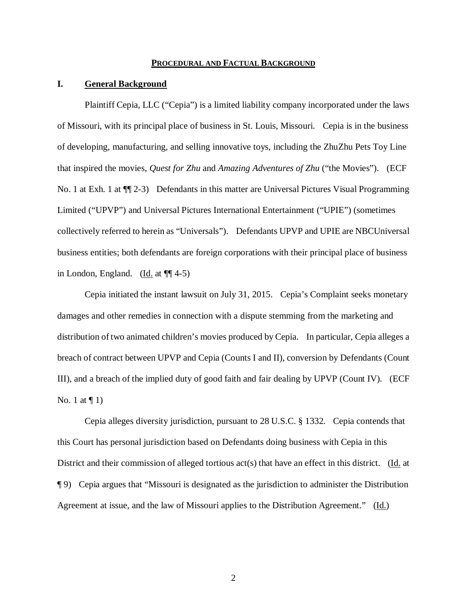#### **PROCEDURAL AND FACTUAL BACKGROUND**

### **I. General Background**

Plaintiff Cepia, LLC ("Cepia") is a limited liability company incorporated under the laws of Missouri, with its principal place of business in St. Louis, Missouri. Cepia is in the business of developing, manufacturing, and selling innovative toys, including the ZhuZhu Pets Toy Line that inspired the movies, *Quest for Zhu* and *Amazing Adventures of Zhu* ("the Movies"). (ECF No. 1 at Exh. 1 at  $\P$  2-3) Defendants in this matter are Universal Pictures Visual Programming Limited ("UPVP") and Universal Pictures International Entertainment ("UPIE") (sometimes collectively referred to herein as "Universals"). Defendants UPVP and UPIE are NBCUniversal business entities; both defendants are foreign corporations with their principal place of business in London, England. (Id. at  $\P$  $(4-5)$ )

Cepia initiated the instant lawsuit on July 31, 2015. Cepia's Complaint seeks monetary damages and other remedies in connection with a dispute stemming from the marketing and distribution of two animated children's movies produced by Cepia. In particular, Cepia alleges a breach of contract between UPVP and Cepia (Counts I and II), conversion by Defendants (Count III), and a breach of the implied duty of good faith and fair dealing by UPVP (Count IV). (ECF No. 1 at  $\P$  1)

Cepia alleges diversity jurisdiction, pursuant to 28 U.S.C. § 1332. Cepia contends that this Court has personal jurisdiction based on Defendants doing business with Cepia in this District and their commission of alleged tortious act(s) that have an effect in this district. (Id. at ¶ 9) Cepia argues that "Missouri is designated as the jurisdiction to administer the Distribution Agreement at issue, and the law of Missouri applies to the Distribution Agreement." (Id.)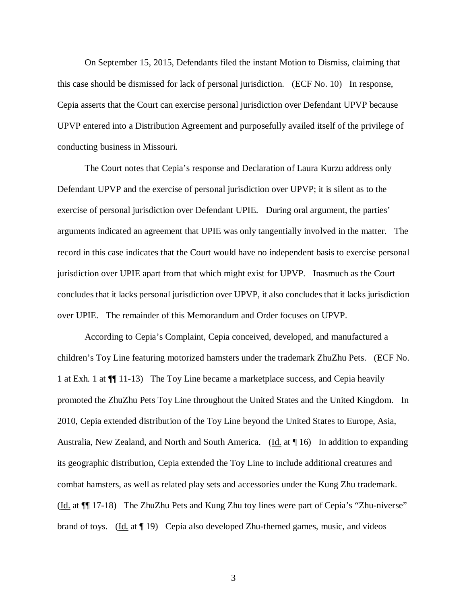On September 15, 2015, Defendants filed the instant Motion to Dismiss, claiming that this case should be dismissed for lack of personal jurisdiction. (ECF No. 10) In response, Cepia asserts that the Court can exercise personal jurisdiction over Defendant UPVP because UPVP entered into a Distribution Agreement and purposefully availed itself of the privilege of conducting business in Missouri.

The Court notes that Cepia's response and Declaration of Laura Kurzu address only Defendant UPVP and the exercise of personal jurisdiction over UPVP; it is silent as to the exercise of personal jurisdiction over Defendant UPIE. During oral argument, the parties' arguments indicated an agreement that UPIE was only tangentially involved in the matter. The record in this case indicates that the Court would have no independent basis to exercise personal jurisdiction over UPIE apart from that which might exist for UPVP. Inasmuch as the Court concludes that it lacks personal jurisdiction over UPVP, it also concludes that it lacks jurisdiction over UPIE. The remainder of this Memorandum and Order focuses on UPVP.

According to Cepia's Complaint, Cepia conceived, developed, and manufactured a children's Toy Line featuring motorized hamsters under the trademark ZhuZhu Pets. (ECF No. 1 at Exh. 1 at ¶¶ 11-13) The Toy Line became a marketplace success, and Cepia heavily promoted the ZhuZhu Pets Toy Line throughout the United States and the United Kingdom. In 2010, Cepia extended distribution of the Toy Line beyond the United States to Europe, Asia, Australia, New Zealand, and North and South America. (Id. at 16) In addition to expanding its geographic distribution, Cepia extended the Toy Line to include additional creatures and combat hamsters, as well as related play sets and accessories under the Kung Zhu trademark. (Id. at ¶¶ 17-18) The ZhuZhu Pets and Kung Zhu toy lines were part of Cepia's "Zhu-niverse" brand of toys. (Id. at 19) Cepia also developed Zhu-themed games, music, and videos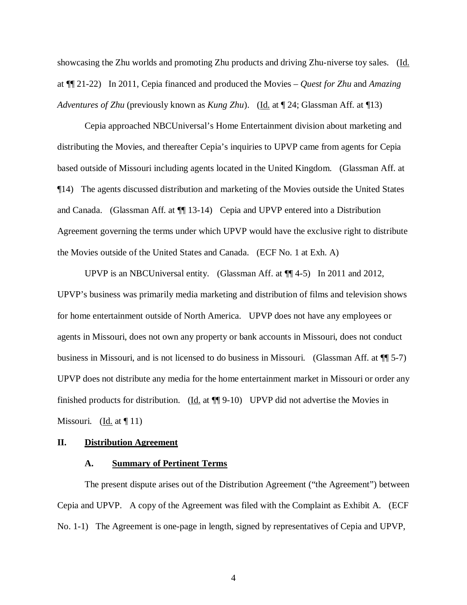showcasing the Zhu worlds and promoting Zhu products and driving Zhu-niverse toy sales. (Id. at ¶¶ 21-22) In 2011, Cepia financed and produced the Movies – *Quest for Zhu* and *Amazing Adventures of Zhu* (previously known as *Kung Zhu*). (Id. at  $\P$  24; Glassman Aff. at  $\P$ 13)

Cepia approached NBCUniversal's Home Entertainment division about marketing and distributing the Movies, and thereafter Cepia's inquiries to UPVP came from agents for Cepia based outside of Missouri including agents located in the United Kingdom. (Glassman Aff. at ¶14) The agents discussed distribution and marketing of the Movies outside the United States and Canada. (Glassman Aff. at ¶¶ 13-14) Cepia and UPVP entered into a Distribution Agreement governing the terms under which UPVP would have the exclusive right to distribute the Movies outside of the United States and Canada. (ECF No. 1 at Exh. A)

UPVP is an NBCUniversal entity. (Glassman Aff. at  $\P$ [4-5) In 2011 and 2012, UPVP's business was primarily media marketing and distribution of films and television shows for home entertainment outside of North America. UPVP does not have any employees or agents in Missouri, does not own any property or bank accounts in Missouri, does not conduct business in Missouri, and is not licensed to do business in Missouri. (Glassman Aff. at ¶¶ 5-7) UPVP does not distribute any media for the home entertainment market in Missouri or order any finished products for distribution. (Id. at ¶¶ 9-10) UPVP did not advertise the Movies in Missouri. (Id. at  $\P$  11)

#### **II. Distribution Agreement**

### **A. Summary of Pertinent Terms**

The present dispute arises out of the Distribution Agreement ("the Agreement") between Cepia and UPVP. A copy of the Agreement was filed with the Complaint as Exhibit A. (ECF No. 1-1) The Agreement is one-page in length, signed by representatives of Cepia and UPVP,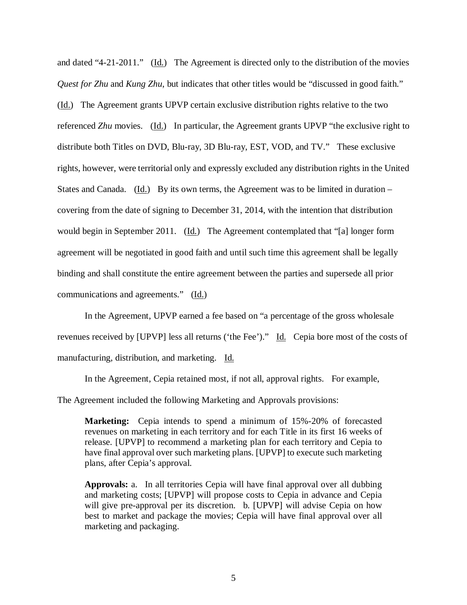and dated "4-21-2011." (Id.) The Agreement is directed only to the distribution of the movies *Quest for Zhu* and *Kung Zhu*, but indicates that other titles would be "discussed in good faith." (Id.) The Agreement grants UPVP certain exclusive distribution rights relative to the two referenced *Zhu* movies. (Id.) In particular, the Agreement grants UPVP "the exclusive right to distribute both Titles on DVD, Blu-ray, 3D Blu-ray, EST, VOD, and TV." These exclusive rights, however, were territorial only and expressly excluded any distribution rights in the United States and Canada. (Id.) By its own terms, the Agreement was to be limited in duration – covering from the date of signing to December 31, 2014, with the intention that distribution would begin in September 2011. (Id.) The Agreement contemplated that "[a] longer form agreement will be negotiated in good faith and until such time this agreement shall be legally binding and shall constitute the entire agreement between the parties and supersede all prior communications and agreements." (Id.)

In the Agreement, UPVP earned a fee based on "a percentage of the gross wholesale revenues received by [UPVP] less all returns ('the Fee')." Id. Cepia bore most of the costs of manufacturing, distribution, and marketing. Id.

In the Agreement, Cepia retained most, if not all, approval rights. For example,

The Agreement included the following Marketing and Approvals provisions:

**Marketing:** Cepia intends to spend a minimum of 15%-20% of forecasted revenues on marketing in each territory and for each Title in its first 16 weeks of release. [UPVP] to recommend a marketing plan for each territory and Cepia to have final approval over such marketing plans. [UPVP] to execute such marketing plans, after Cepia's approval.

**Approvals:** a. In all territories Cepia will have final approval over all dubbing and marketing costs; [UPVP] will propose costs to Cepia in advance and Cepia will give pre-approval per its discretion. b. [UPVP] will advise Cepia on how best to market and package the movies; Cepia will have final approval over all marketing and packaging.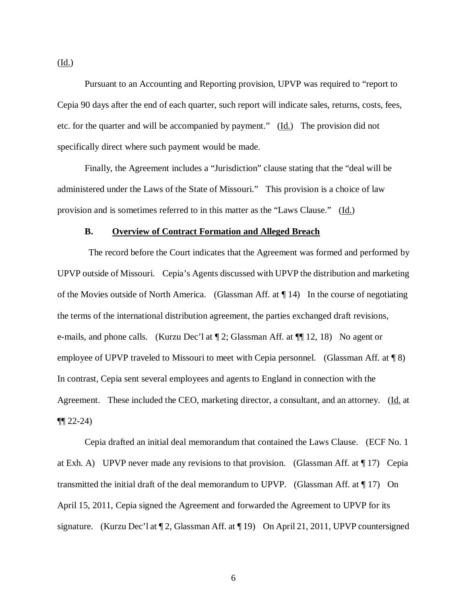Pursuant to an Accounting and Reporting provision, UPVP was required to "report to Cepia 90 days after the end of each quarter, such report will indicate sales, returns, costs, fees, etc. for the quarter and will be accompanied by payment." (Id.) The provision did not specifically direct where such payment would be made.

Finally, the Agreement includes a "Jurisdiction" clause stating that the "deal will be administered under the Laws of the State of Missouri." This provision is a choice of law provision and is sometimes referred to in this matter as the "Laws Clause." (Id.)

### **B. Overview of Contract Formation and Alleged Breach**

The record before the Court indicates that the Agreement was formed and performed by UPVP outside of Missouri. Cepia's Agents discussed with UPVP the distribution and marketing of the Movies outside of North America. (Glassman Aff. at ¶ 14) In the course of negotiating the terms of the international distribution agreement, the parties exchanged draft revisions, e-mails, and phone calls. (Kurzu Dec'l at ¶ 2; Glassman Aff. at ¶¶ 12, 18) No agent or employee of UPVP traveled to Missouri to meet with Cepia personnel. (Glassman Aff. at  $\P$  8) In contrast, Cepia sent several employees and agents to England in connection with the Agreement. These included the CEO, marketing director, a consultant, and an attorney. (Id. at  $\P\P 22 - 24$ 

Cepia drafted an initial deal memorandum that contained the Laws Clause. (ECF No. 1 at Exh. A) UPVP never made any revisions to that provision. (Glassman Aff. at  $\P$  17) Cepia transmitted the initial draft of the deal memorandum to UPVP. (Glassman Aff. at  $\P$  17) On April 15, 2011, Cepia signed the Agreement and forwarded the Agreement to UPVP for its signature. (Kurzu Dec'l at  $\P$  2, Glassman Aff. at  $\P$  19) On April 21, 2011, UPVP countersigned

(Id.)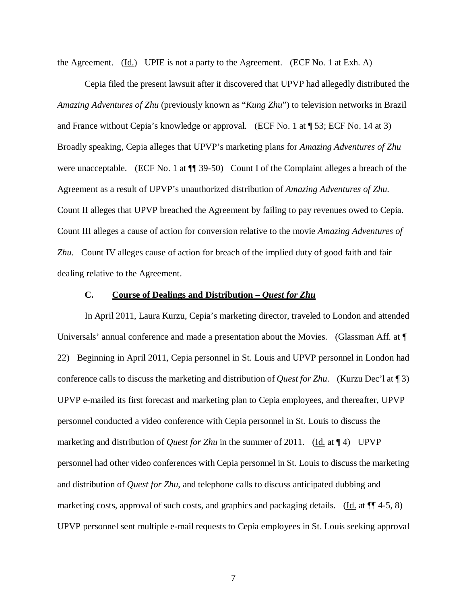the Agreement.  $(\underline{Id})$  UPIE is not a party to the Agreement. (ECF No. 1 at Exh. A)

Cepia filed the present lawsuit after it discovered that UPVP had allegedly distributed the *Amazing Adventures of Zhu* (previously known as "*Kung Zhu*") to television networks in Brazil and France without Cepia's knowledge or approval. (ECF No. 1 at ¶ 53; ECF No. 14 at 3) Broadly speaking, Cepia alleges that UPVP's marketing plans for *Amazing Adventures of Zhu* were unacceptable. (ECF No. 1 at  $\P$  39-50) Count I of the Complaint alleges a breach of the Agreement as a result of UPVP's unauthorized distribution of *Amazing Adventures of Zhu*. Count II alleges that UPVP breached the Agreement by failing to pay revenues owed to Cepia. Count III alleges a cause of action for conversion relative to the movie *Amazing Adventures of Zhu*. Count IV alleges cause of action for breach of the implied duty of good faith and fair dealing relative to the Agreement.

# **C. Course of Dealings and Distribution –** *Quest for Zhu*

In April 2011, Laura Kurzu, Cepia's marketing director, traveled to London and attended Universals' annual conference and made a presentation about the Movies. (Glassman Aff. at ¶ 22) Beginning in April 2011, Cepia personnel in St. Louis and UPVP personnel in London had conference calls to discuss the marketing and distribution of *Quest for Zhu*. (Kurzu Dec'l at ¶ 3) UPVP e-mailed its first forecast and marketing plan to Cepia employees, and thereafter, UPVP personnel conducted a video conference with Cepia personnel in St. Louis to discuss the marketing and distribution of *Quest for Zhu* in the summer of 2011. (Id. at  $\P$  4) UPVP personnel had other video conferences with Cepia personnel in St. Louis to discuss the marketing and distribution of *Quest for Zhu*, and telephone calls to discuss anticipated dubbing and marketing costs, approval of such costs, and graphics and packaging details. (Id. at  $\P$  4-5, 8) UPVP personnel sent multiple e-mail requests to Cepia employees in St. Louis seeking approval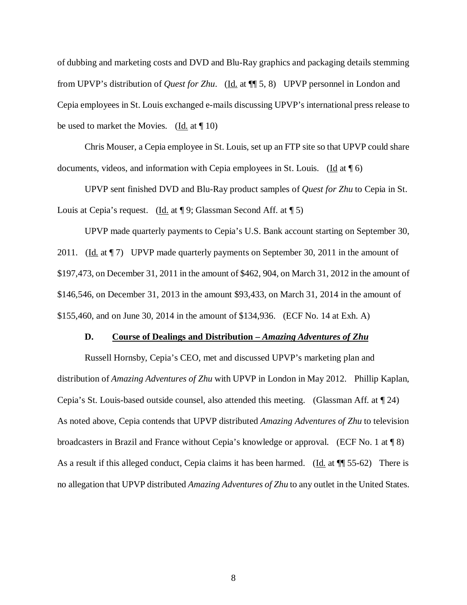of dubbing and marketing costs and DVD and Blu-Ray graphics and packaging details stemming from UPVP's distribution of *Quest for Zhu*. (Id. at ¶¶ 5, 8) UPVP personnel in London and Cepia employees in St. Louis exchanged e-mails discussing UPVP's international press release to be used to market the Movies.  $(Id. at  $\parallel 10)$ )$ 

Chris Mouser, a Cepia employee in St. Louis, set up an FTP site so that UPVP could share documents, videos, and information with Cepia employees in St. Louis. (Id at  $\P$  6)

UPVP sent finished DVD and Blu-Ray product samples of *Quest for Zhu* to Cepia in St. Louis at Cepia's request. (Id. at  $\P$ 9; Glassman Second Aff. at  $\P$ 5)

UPVP made quarterly payments to Cepia's U.S. Bank account starting on September 30, 2011. (Id. at  $\P$  7) UPVP made quarterly payments on September 30, 2011 in the amount of \$197,473, on December 31, 2011 in the amount of \$462, 904, on March 31, 2012 in the amount of \$146,546, on December 31, 2013 in the amount \$93,433, on March 31, 2014 in the amount of \$155,460, and on June 30, 2014 in the amount of \$134,936. (ECF No. 14 at Exh. A)

#### **D. Course of Dealings and Distribution –** *Amazing Adventures of Zhu*

Russell Hornsby, Cepia's CEO, met and discussed UPVP's marketing plan and distribution of *Amazing Adventures of Zhu* with UPVP in London in May 2012. Phillip Kaplan, Cepia's St. Louis-based outside counsel, also attended this meeting. (Glassman Aff. at ¶ 24) As noted above, Cepia contends that UPVP distributed *Amazing Adventures of Zhu* to television broadcasters in Brazil and France without Cepia's knowledge or approval. (ECF No. 1 at ¶ 8) As a result if this alleged conduct, Cepia claims it has been harmed. (Id. at ¶¶ 55-62) There is no allegation that UPVP distributed *Amazing Adventures of Zhu* to any outlet in the United States.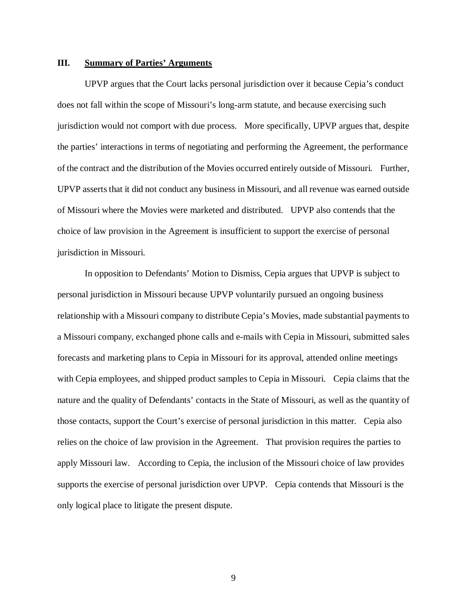## **III. Summary of Parties' Arguments**

UPVP argues that the Court lacks personal jurisdiction over it because Cepia's conduct does not fall within the scope of Missouri's long-arm statute, and because exercising such jurisdiction would not comport with due process. More specifically, UPVP argues that, despite the parties' interactions in terms of negotiating and performing the Agreement, the performance of the contract and the distribution of the Movies occurred entirely outside of Missouri. Further, UPVP asserts that it did not conduct any business in Missouri, and all revenue was earned outside of Missouri where the Movies were marketed and distributed. UPVP also contends that the choice of law provision in the Agreement is insufficient to support the exercise of personal jurisdiction in Missouri.

In opposition to Defendants' Motion to Dismiss, Cepia argues that UPVP is subject to personal jurisdiction in Missouri because UPVP voluntarily pursued an ongoing business relationship with a Missouri company to distribute Cepia's Movies, made substantial payments to a Missouri company, exchanged phone calls and e-mails with Cepia in Missouri, submitted sales forecasts and marketing plans to Cepia in Missouri for its approval, attended online meetings with Cepia employees, and shipped product samples to Cepia in Missouri. Cepia claims that the nature and the quality of Defendants' contacts in the State of Missouri, as well as the quantity of those contacts, support the Court's exercise of personal jurisdiction in this matter. Cepia also relies on the choice of law provision in the Agreement. That provision requires the parties to apply Missouri law. According to Cepia, the inclusion of the Missouri choice of law provides supports the exercise of personal jurisdiction over UPVP. Cepia contends that Missouri is the only logical place to litigate the present dispute.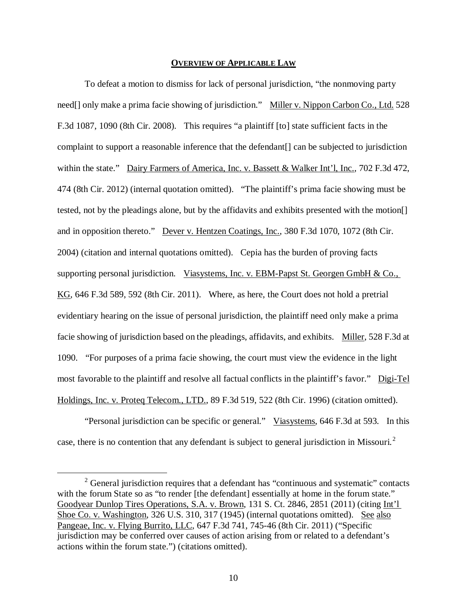### **OVERVIEW OF APPLICABLE LAW**

To defeat a motion to dismiss for lack of personal jurisdiction, "the nonmoving party need<sup>[]</sup> only make a prima facie showing of jurisdiction." Miller v. Nippon Carbon Co., Ltd. 528 F.3d 1087, 1090 (8th Cir. 2008). This requires "a plaintiff [to] state sufficient facts in the complaint to support a reasonable inference that the defendant[] can be subjected to jurisdiction within the state." Dairy Farmers of America, Inc. v. Bassett & Walker Int'l, Inc., 702 F.3d 472, 474 (8th Cir. 2012) (internal quotation omitted). "The plaintiff's prima facie showing must be tested, not by the pleadings alone, but by the affidavits and exhibits presented with the motion[] and in opposition thereto." Dever v. Hentzen Coatings, Inc., 380 F.3d 1070, 1072 (8th Cir. 2004) (citation and internal quotations omitted). Cepia has the burden of proving facts supporting personal jurisdiction. Viasystems, Inc. v. EBM-Papst St. Georgen GmbH & Co., KG, 646 F.3d 589, 592 (8th Cir. 2011). Where, as here, the Court does not hold a pretrial evidentiary hearing on the issue of personal jurisdiction, the plaintiff need only make a prima facie showing of jurisdiction based on the pleadings, affidavits, and exhibits. Miller, 528 F.3d at 1090. "For purposes of a prima facie showing, the court must view the evidence in the light most favorable to the plaintiff and resolve all factual conflicts in the plaintiff's favor." Digi-Tel Holdings, Inc. v. Proteq Telecom., LTD., 89 F.3d 519, 522 (8th Cir. 1996) (citation omitted).

"Personal jurisdiction can be specific or general." Viasystems, 646 F.3d at 593. In this case, there is no contention that any defendant is subject to general jurisdiction in Missouri.<sup>[2](#page-9-0)</sup>

<span id="page-9-0"></span><sup>&</sup>lt;sup>2</sup> General jurisdiction requires that a defendant has "continuous and systematic" contacts with the forum State so as "to render [the defendant] essentially at home in the forum state." Goodyear Dunlop Tires Operations, S.A. v. Brown, 131 S. Ct. 2846, 2851 (2011) (citing Int'l Shoe Co. v. Washington, 326 U.S. 310, 317 (1945) (internal quotations omitted). See also Pangeae, Inc. v. Flying Burrito, LLC, 647 F.3d 741, 745-46 (8th Cir. 2011) ("Specific jurisdiction may be conferred over causes of action arising from or related to a defendant's actions within the forum state.") (citations omitted).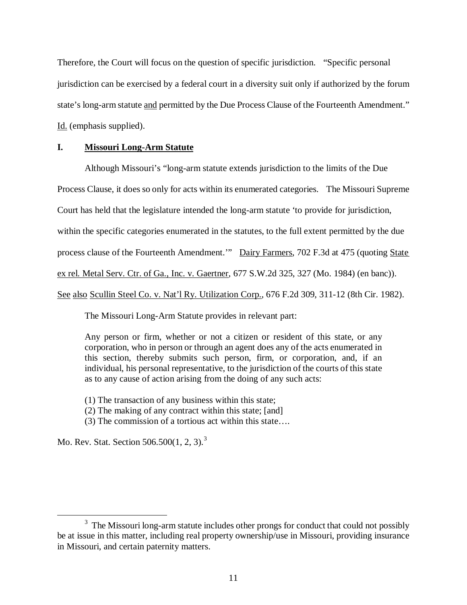Therefore, the Court will focus on the question of specific jurisdiction. "Specific personal jurisdiction can be exercised by a federal court in a diversity suit only if authorized by the forum state's long-arm statute and permitted by the Due Process Clause of the Fourteenth Amendment." Id. (emphasis supplied).

# **I. Missouri Long-Arm Statute**

Although Missouri's "long-arm statute extends jurisdiction to the limits of the Due Process Clause, it does so only for acts within its enumerated categories. The Missouri Supreme Court has held that the legislature intended the long-arm statute 'to provide for jurisdiction, within the specific categories enumerated in the statutes, to the full extent permitted by the due process clause of the Fourteenth Amendment.'" Dairy Farmers, 702 F.3d at 475 (quoting State ex rel. Metal Serv. Ctr. of Ga., Inc. v. Gaertner, 677 S.W.2d 325, 327 (Mo. 1984) (en banc)). See also Scullin Steel Co. v. Nat'l Ry. Utilization Corp., 676 F.2d 309, 311-12 (8th Cir. 1982).

The Missouri Long-Arm Statute provides in relevant part:

Any person or firm, whether or not a citizen or resident of this state, or any corporation, who in person or through an agent does any of the acts enumerated in this section, thereby submits such person, firm, or corporation, and, if an individual, his personal representative, to the jurisdiction of the courts of this state as to any cause of action arising from the doing of any such acts:

(1) The transaction of any business within this state;

(2) The making of any contract within this state; [and]

(3) The commission of a tortious act within this state….

Mo. Rev. Stat. Section 506.500(1, 2, [3](#page-10-0)).<sup>3</sup>

<span id="page-10-0"></span><sup>&</sup>lt;sup>3</sup> The Missouri long-arm statute includes other prongs for conduct that could not possibly be at issue in this matter, including real property ownership/use in Missouri, providing insurance in Missouri, and certain paternity matters.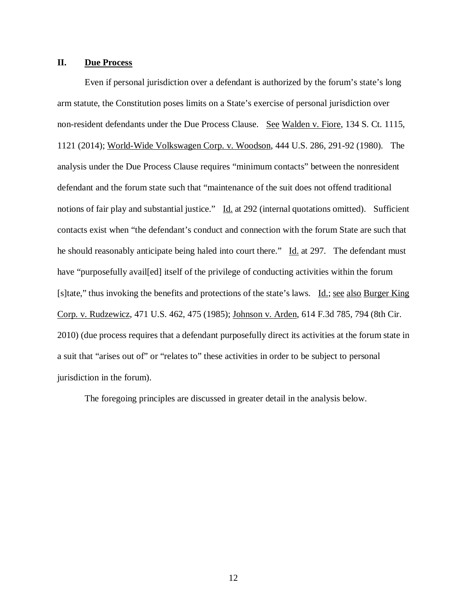## **II. Due Process**

Even if personal jurisdiction over a defendant is authorized by the forum's state's long arm statute, the Constitution poses limits on a State's exercise of personal jurisdiction over non-resident defendants under the Due Process Clause. See Walden v. Fiore, 134 S. Ct. 1115, 1121 (2014); World-Wide Volkswagen Corp. v. Woodson, 444 U.S. 286, 291-92 (1980). The analysis under the Due Process Clause requires "minimum contacts" between the nonresident defendant and the forum state such that "maintenance of the suit does not offend traditional notions of fair play and substantial justice." Id. at 292 (internal quotations omitted). Sufficient contacts exist when "the defendant's conduct and connection with the forum State are such that he should reasonably anticipate being haled into court there." Id. at 297. The defendant must have "purposefully avail[ed] itself of the privilege of conducting activities within the forum [s]tate," thus invoking the benefits and protections of the state's laws. Id.; see also Burger King Corp. v. Rudzewicz, 471 U.S. 462, 475 (1985); Johnson v. Arden, 614 F.3d 785, 794 (8th Cir. 2010) (due process requires that a defendant purposefully direct its activities at the forum state in a suit that "arises out of" or "relates to" these activities in order to be subject to personal jurisdiction in the forum).

The foregoing principles are discussed in greater detail in the analysis below.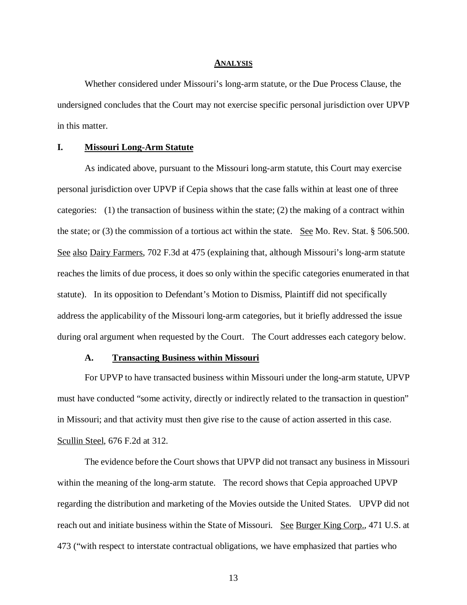#### **ANALYSIS**

Whether considered under Missouri's long-arm statute, or the Due Process Clause, the undersigned concludes that the Court may not exercise specific personal jurisdiction over UPVP in this matter.

## **I. Missouri Long-Arm Statute**

As indicated above, pursuant to the Missouri long-arm statute, this Court may exercise personal jurisdiction over UPVP if Cepia shows that the case falls within at least one of three categories: (1) the transaction of business within the state; (2) the making of a contract within the state; or (3) the commission of a tortious act within the state. See Mo. Rev. Stat. § 506.500. See also Dairy Farmers, 702 F.3d at 475 (explaining that, although Missouri's long-arm statute reaches the limits of due process, it does so only within the specific categories enumerated in that statute). In its opposition to Defendant's Motion to Dismiss, Plaintiff did not specifically address the applicability of the Missouri long-arm categories, but it briefly addressed the issue during oral argument when requested by the Court. The Court addresses each category below.

#### **A. Transacting Business within Missouri**

For UPVP to have transacted business within Missouri under the long-arm statute, UPVP must have conducted "some activity, directly or indirectly related to the transaction in question" in Missouri; and that activity must then give rise to the cause of action asserted in this case. Scullin Steel, 676 F.2d at 312.

The evidence before the Court shows that UPVP did not transact any business in Missouri within the meaning of the long-arm statute. The record shows that Cepia approached UPVP regarding the distribution and marketing of the Movies outside the United States. UPVP did not reach out and initiate business within the State of Missouri. See Burger King Corp., 471 U.S. at 473 ("with respect to interstate contractual obligations, we have emphasized that parties who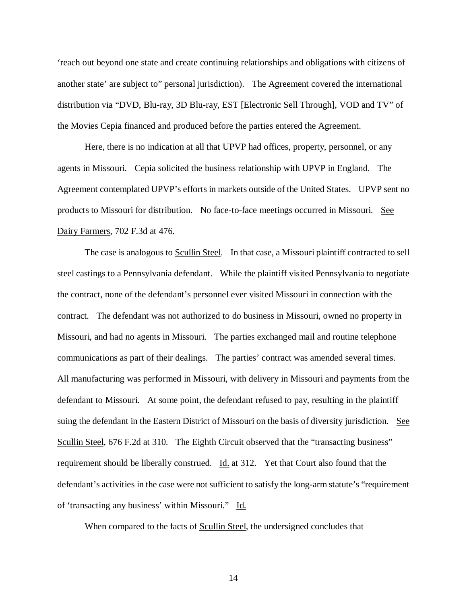'reach out beyond one state and create continuing relationships and obligations with citizens of another state' are subject to" personal jurisdiction). The Agreement covered the international distribution via "DVD, Blu-ray, 3D Blu-ray, EST [Electronic Sell Through], VOD and TV" of the Movies Cepia financed and produced before the parties entered the Agreement.

Here, there is no indication at all that UPVP had offices, property, personnel, or any agents in Missouri. Cepia solicited the business relationship with UPVP in England. The Agreement contemplated UPVP's efforts in markets outside of the United States. UPVP sent no products to Missouri for distribution. No face-to-face meetings occurred in Missouri. See Dairy Farmers, 702 F.3d at 476.

The case is analogous to Scullin Steel. In that case, a Missouri plaintiff contracted to sell steel castings to a Pennsylvania defendant. While the plaintiff visited Pennsylvania to negotiate the contract, none of the defendant's personnel ever visited Missouri in connection with the contract. The defendant was not authorized to do business in Missouri, owned no property in Missouri, and had no agents in Missouri. The parties exchanged mail and routine telephone communications as part of their dealings. The parties' contract was amended several times. All manufacturing was performed in Missouri, with delivery in Missouri and payments from the defendant to Missouri. At some point, the defendant refused to pay, resulting in the plaintiff suing the defendant in the Eastern District of Missouri on the basis of diversity jurisdiction. See Scullin Steel, 676 F.2d at 310. The Eighth Circuit observed that the "transacting business" requirement should be liberally construed. Id. at 312. Yet that Court also found that the defendant's activities in the case were not sufficient to satisfy the long-arm statute's "requirement of 'transacting any business' within Missouri." Id.

When compared to the facts of Scullin Steel, the undersigned concludes that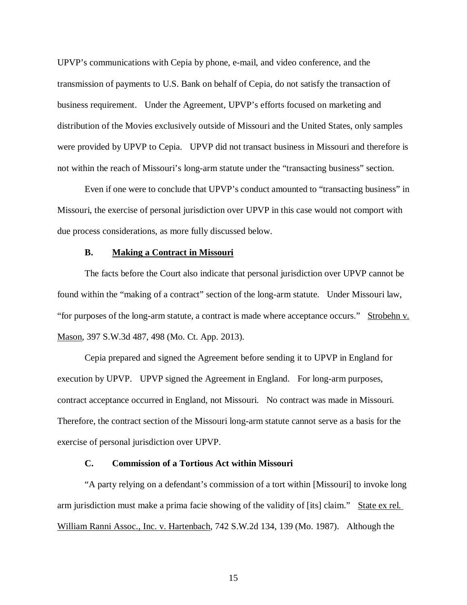UPVP's communications with Cepia by phone, e-mail, and video conference, and the transmission of payments to U.S. Bank on behalf of Cepia, do not satisfy the transaction of business requirement. Under the Agreement, UPVP's efforts focused on marketing and distribution of the Movies exclusively outside of Missouri and the United States, only samples were provided by UPVP to Cepia. UPVP did not transact business in Missouri and therefore is not within the reach of Missouri's long-arm statute under the "transacting business" section.

Even if one were to conclude that UPVP's conduct amounted to "transacting business" in Missouri, the exercise of personal jurisdiction over UPVP in this case would not comport with due process considerations, as more fully discussed below.

#### **B. Making a Contract in Missouri**

The facts before the Court also indicate that personal jurisdiction over UPVP cannot be found within the "making of a contract" section of the long-arm statute. Under Missouri law, "for purposes of the long-arm statute, a contract is made where acceptance occurs." Strobehn v. Mason, 397 S.W.3d 487, 498 (Mo. Ct. App. 2013).

Cepia prepared and signed the Agreement before sending it to UPVP in England for execution by UPVP. UPVP signed the Agreement in England. For long-arm purposes, contract acceptance occurred in England, not Missouri. No contract was made in Missouri. Therefore, the contract section of the Missouri long-arm statute cannot serve as a basis for the exercise of personal jurisdiction over UPVP.

## **C. Commission of a Tortious Act within Missouri**

"A party relying on a defendant's commission of a tort within [Missouri] to invoke long arm jurisdiction must make a prima facie showing of the validity of [its] claim." State ex rel. William Ranni Assoc., Inc. v. Hartenbach, 742 S.W.2d 134, 139 (Mo. 1987). Although the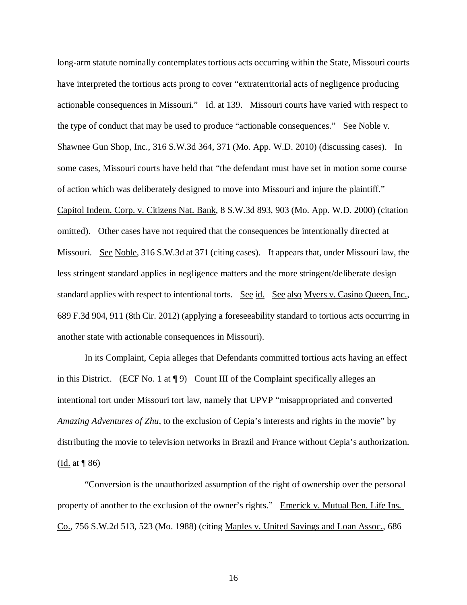long-arm statute nominally contemplates tortious acts occurring within the State, Missouri courts have interpreted the tortious acts prong to cover "extraterritorial acts of negligence producing actionable consequences in Missouri." Id. at 139. Missouri courts have varied with respect to the type of conduct that may be used to produce "actionable consequences." See Noble v. Shawnee Gun Shop, Inc., 316 S.W.3d 364, 371 (Mo. App. W.D. 2010) (discussing cases). In some cases, Missouri courts have held that "the defendant must have set in motion some course of action which was deliberately designed to move into Missouri and injure the plaintiff." Capitol Indem. Corp. v. Citizens Nat. Bank, 8 S.W.3d 893, 903 (Mo. App. W.D. 2000) (citation omitted). Other cases have not required that the consequences be intentionally directed at Missouri. See Noble, 316 S.W.3d at 371 (citing cases). It appears that, under Missouri law, the less stringent standard applies in negligence matters and the more stringent/deliberate design standard applies with respect to intentional torts. See id. See also Myers v. Casino Queen, Inc., 689 F.3d 904, 911 (8th Cir. 2012) (applying a foreseeability standard to tortious acts occurring in another state with actionable consequences in Missouri).

In its Complaint, Cepia alleges that Defendants committed tortious acts having an effect in this District. (ECF No. 1 at  $\P$ 9) Count III of the Complaint specifically alleges an intentional tort under Missouri tort law, namely that UPVP "misappropriated and converted *Amazing Adventures of Zhu*, to the exclusion of Cepia's interests and rights in the movie" by distributing the movie to television networks in Brazil and France without Cepia's authorization. (Id. at ¶ 86)

"Conversion is the unauthorized assumption of the right of ownership over the personal property of another to the exclusion of the owner's rights." Emerick v. Mutual Ben. Life Ins. Co., 756 S.W.2d 513, 523 (Mo. 1988) (citing Maples v. United Savings and Loan Assoc., 686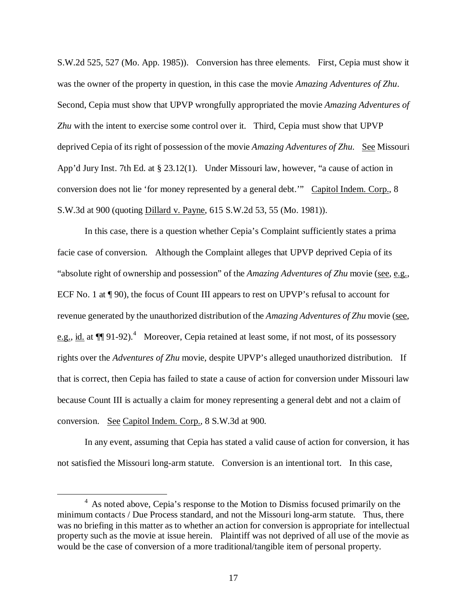S.W.2d 525, 527 (Mo. App. 1985)). Conversion has three elements. First, Cepia must show it was the owner of the property in question, in this case the movie *Amazing Adventures of Zhu*. Second, Cepia must show that UPVP wrongfully appropriated the movie *Amazing Adventures of Zhu* with the intent to exercise some control over it. Third, Cepia must show that UPVP deprived Cepia of its right of possession of the movie *Amazing Adventures of Zhu*. <u>See</u> Missouri App'd Jury Inst. 7th Ed. at § 23.12(1). Under Missouri law, however, "a cause of action in conversion does not lie 'for money represented by a general debt.'" Capitol Indem. Corp., 8 S.W.3d at 900 (quoting Dillard v. Payne, 615 S.W.2d 53, 55 (Mo. 1981)).

In this case, there is a question whether Cepia's Complaint sufficiently states a prima facie case of conversion. Although the Complaint alleges that UPVP deprived Cepia of its "absolute right of ownership and possession" of the *Amazing Adventures of Zhu* movie (see, e.g., ECF No. 1 at ¶ 90), the focus of Count III appears to rest on UPVP's refusal to account for revenue generated by the unauthorized distribution of the *Amazing Adventures of Zhu* movie (see, e.g., id. at  $\P$  91-92).<sup>[4](#page-16-0)</sup> Moreover, Cepia retained at least some, if not most, of its possessory rights over the *Adventures of Zhu* movie, despite UPVP's alleged unauthorized distribution. If that is correct, then Cepia has failed to state a cause of action for conversion under Missouri law because Count III is actually a claim for money representing a general debt and not a claim of conversion. See Capitol Indem. Corp., 8 S.W.3d at 900.

In any event, assuming that Cepia has stated a valid cause of action for conversion, it has not satisfied the Missouri long-arm statute. Conversion is an intentional tort. In this case,

<span id="page-16-0"></span><sup>&</sup>lt;sup>4</sup> As noted above, Cepia's response to the Motion to Dismiss focused primarily on the minimum contacts / Due Process standard, and not the Missouri long-arm statute. Thus, there was no briefing in this matter as to whether an action for conversion is appropriate for intellectual property such as the movie at issue herein. Plaintiff was not deprived of all use of the movie as would be the case of conversion of a more traditional/tangible item of personal property.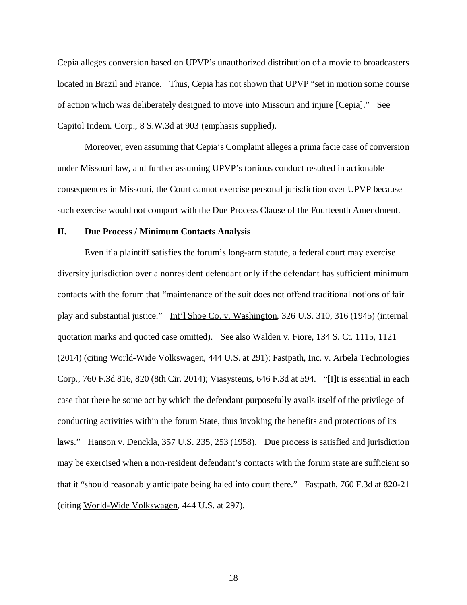Cepia alleges conversion based on UPVP's unauthorized distribution of a movie to broadcasters located in Brazil and France. Thus, Cepia has not shown that UPVP "set in motion some course of action which was deliberately designed to move into Missouri and injure [Cepia]." See Capitol Indem. Corp., 8 S.W.3d at 903 (emphasis supplied).

Moreover, even assuming that Cepia's Complaint alleges a prima facie case of conversion under Missouri law, and further assuming UPVP's tortious conduct resulted in actionable consequences in Missouri, the Court cannot exercise personal jurisdiction over UPVP because such exercise would not comport with the Due Process Clause of the Fourteenth Amendment.

## **II. Due Process / Minimum Contacts Analysis**

Even if a plaintiff satisfies the forum's long-arm statute, a federal court may exercise diversity jurisdiction over a nonresident defendant only if the defendant has sufficient minimum contacts with the forum that "maintenance of the suit does not offend traditional notions of fair play and substantial justice." Int'l Shoe Co. v. Washington, 326 U.S. 310, 316 (1945) (internal quotation marks and quoted case omitted). See also Walden v. Fiore, 134 S. Ct. 1115, 1121 (2014) (citing World-Wide Volkswagen, 444 U.S. at 291); Fastpath, Inc. v. Arbela Technologies Corp., 760 F.3d 816, 820 (8th Cir. 2014); Viasystems, 646 F.3d at 594. "[I]t is essential in each case that there be some act by which the defendant purposefully avails itself of the privilege of conducting activities within the forum State, thus invoking the benefits and protections of its laws." Hanson v. Denckla, 357 U.S. 235, 253 (1958). Due process is satisfied and jurisdiction may be exercised when a non-resident defendant's contacts with the forum state are sufficient so that it "should reasonably anticipate being haled into court there." Fastpath, 760 F.3d at 820-21 (citing World-Wide Volkswagen, 444 U.S. at 297).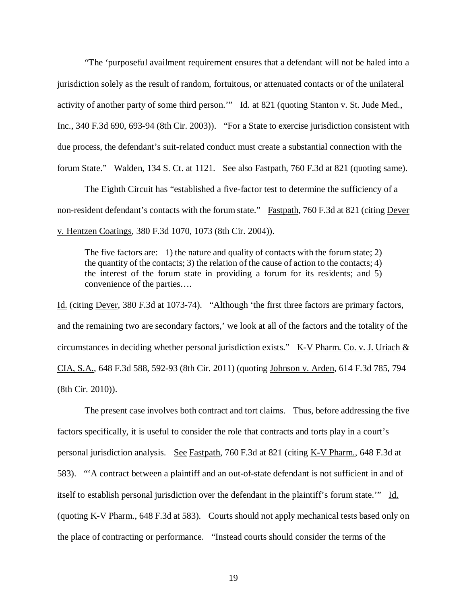"The 'purposeful availment requirement ensures that a defendant will not be haled into a jurisdiction solely as the result of random, fortuitous, or attenuated contacts or of the unilateral activity of another party of some third person." Id. at 821 (quoting Stanton v. St. Jude Med., Inc., 340 F.3d 690, 693-94 (8th Cir. 2003)). "For a State to exercise jurisdiction consistent with due process, the defendant's suit-related conduct must create a substantial connection with the forum State." Walden, 134 S. Ct. at 1121. See also Fastpath, 760 F.3d at 821 (quoting same).

The Eighth Circuit has "established a five-factor test to determine the sufficiency of a non-resident defendant's contacts with the forum state." Fastpath, 760 F.3d at 821 (citing Dever v. Hentzen Coatings, 380 F.3d 1070, 1073 (8th Cir. 2004)).

The five factors are: 1) the nature and quality of contacts with the forum state; 2) the quantity of the contacts; 3) the relation of the cause of action to the contacts; 4) the interest of the forum state in providing a forum for its residents; and 5) convenience of the parties….

Id. (citing Dever, 380 F.3d at 1073-74). "Although 'the first three factors are primary factors, and the remaining two are secondary factors,' we look at all of the factors and the totality of the circumstances in deciding whether personal jurisdiction exists."  $K-V$  Pharm. Co. v. J. Uriach  $&$ CIA, S.A., 648 F.3d 588, 592-93 (8th Cir. 2011) (quoting Johnson v. Arden, 614 F.3d 785, 794 (8th Cir. 2010)).

The present case involves both contract and tort claims. Thus, before addressing the five factors specifically, it is useful to consider the role that contracts and torts play in a court's personal jurisdiction analysis. See Fastpath, 760 F.3d at 821 (citing K-V Pharm., 648 F.3d at 583). "'A contract between a plaintiff and an out-of-state defendant is not sufficient in and of itself to establish personal jurisdiction over the defendant in the plaintiff's forum state." Id. (quoting K-V Pharm., 648 F.3d at 583). Courts should not apply mechanical tests based only on the place of contracting or performance. "Instead courts should consider the terms of the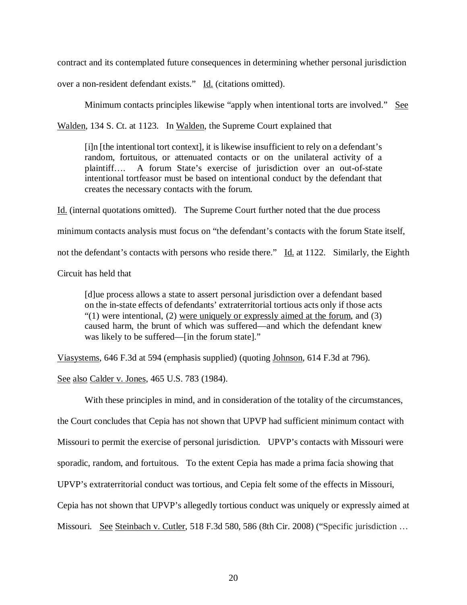contract and its contemplated future consequences in determining whether personal jurisdiction

over a non-resident defendant exists." Id. (citations omitted).

Minimum contacts principles likewise "apply when intentional torts are involved." See

Walden, 134 S. Ct. at 1123. In Walden, the Supreme Court explained that

[i]n [the intentional tort context], it is likewise insufficient to rely on a defendant's random, fortuitous, or attenuated contacts or on the unilateral activity of a plaintiff…. A forum State's exercise of jurisdiction over an out-of-state intentional tortfeasor must be based on intentional conduct by the defendant that creates the necessary contacts with the forum.

Id. (internal quotations omitted). The Supreme Court further noted that the due process

minimum contacts analysis must focus on "the defendant's contacts with the forum State itself,

not the defendant's contacts with persons who reside there." Id. at 1122. Similarly, the Eighth

Circuit has held that

[d]ue process allows a state to assert personal jurisdiction over a defendant based on the in-state effects of defendants' extraterritorial tortious acts only if those acts  $(1)$  were intentional, (2) were uniquely or expressly aimed at the forum, and (3) caused harm, the brunt of which was suffered—and which the defendant knew was likely to be suffered—[in the forum state]."

Viasystems, 646 F.3d at 594 (emphasis supplied) (quoting Johnson, 614 F.3d at 796).

See also Calder v. Jones, 465 U.S. 783 (1984).

With these principles in mind, and in consideration of the totality of the circumstances, the Court concludes that Cepia has not shown that UPVP had sufficient minimum contact with Missouri to permit the exercise of personal jurisdiction. UPVP's contacts with Missouri were sporadic, random, and fortuitous. To the extent Cepia has made a prima facia showing that UPVP's extraterritorial conduct was tortious, and Cepia felt some of the effects in Missouri, Cepia has not shown that UPVP's allegedly tortious conduct was uniquely or expressly aimed at Missouri. See Steinbach v. Cutler, 518 F.3d 580, 586 (8th Cir. 2008) ("Specific jurisdiction ...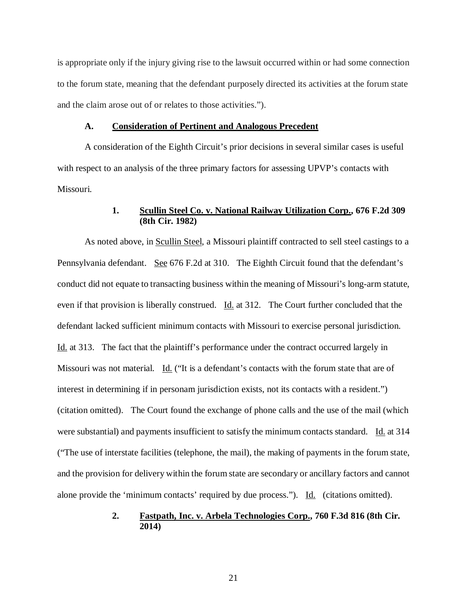is appropriate only if the injury giving rise to the lawsuit occurred within or had some connection to the forum state, meaning that the defendant purposely directed its activities at the forum state and the claim arose out of or relates to those activities.").

#### **A. Consideration of Pertinent and Analogous Precedent**

A consideration of the Eighth Circuit's prior decisions in several similar cases is useful with respect to an analysis of the three primary factors for assessing UPVP's contacts with Missouri.

# **1. Scullin Steel Co. v. National Railway Utilization Corp., 676 F.2d 309 (8th Cir. 1982)**

As noted above, in Scullin Steel, a Missouri plaintiff contracted to sell steel castings to a Pennsylvania defendant. See 676 F.2d at 310. The Eighth Circuit found that the defendant's conduct did not equate to transacting business within the meaning of Missouri's long-arm statute, even if that provision is liberally construed. Id. at 312. The Court further concluded that the defendant lacked sufficient minimum contacts with Missouri to exercise personal jurisdiction. Id. at 313. The fact that the plaintiff's performance under the contract occurred largely in Missouri was not material. Id. ("It is a defendant's contacts with the forum state that are of interest in determining if in personam jurisdiction exists, not its contacts with a resident.") (citation omitted). The Court found the exchange of phone calls and the use of the mail (which were substantial) and payments insufficient to satisfy the minimum contacts standard. Id. at 314 ("The use of interstate facilities (telephone, the mail), the making of payments in the forum state, and the provision for delivery within the forum state are secondary or ancillary factors and cannot alone provide the 'minimum contacts' required by due process."). Id. (citations omitted).

### **2. Fastpath, Inc. v. Arbela Technologies Corp., 760 F.3d 816 (8th Cir. 2014)**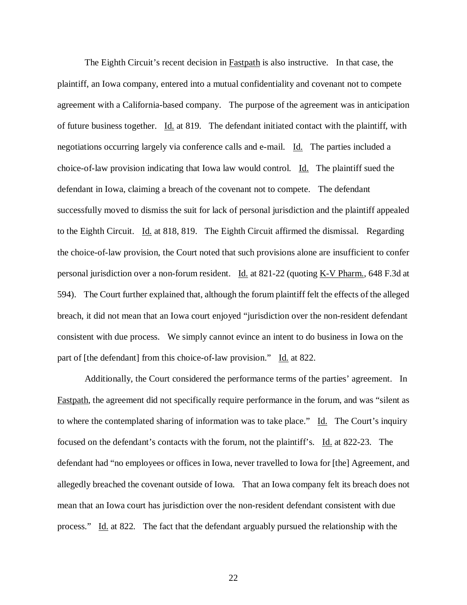The Eighth Circuit's recent decision in **Fastpath** is also instructive. In that case, the plaintiff, an Iowa company, entered into a mutual confidentiality and covenant not to compete agreement with a California-based company. The purpose of the agreement was in anticipation of future business together. Id. at 819. The defendant initiated contact with the plaintiff, with negotiations occurring largely via conference calls and e-mail. Id. The parties included a choice-of-law provision indicating that Iowa law would control. Id. The plaintiff sued the defendant in Iowa, claiming a breach of the covenant not to compete. The defendant successfully moved to dismiss the suit for lack of personal jurisdiction and the plaintiff appealed to the Eighth Circuit. Id. at 818, 819. The Eighth Circuit affirmed the dismissal. Regarding the choice-of-law provision, the Court noted that such provisions alone are insufficient to confer personal jurisdiction over a non-forum resident. Id. at 821-22 (quoting K-V Pharm., 648 F.3d at 594). The Court further explained that, although the forum plaintiff felt the effects of the alleged breach, it did not mean that an Iowa court enjoyed "jurisdiction over the non-resident defendant consistent with due process. We simply cannot evince an intent to do business in Iowa on the part of [the defendant] from this choice-of-law provision." Id. at 822.

Additionally, the Court considered the performance terms of the parties' agreement. In Fastpath, the agreement did not specifically require performance in the forum, and was "silent as to where the contemplated sharing of information was to take place." Id. The Court's inquiry focused on the defendant's contacts with the forum, not the plaintiff's. Id. at 822-23. The defendant had "no employees or offices in Iowa, never travelled to Iowa for [the] Agreement, and allegedly breached the covenant outside of Iowa. That an Iowa company felt its breach does not mean that an Iowa court has jurisdiction over the non-resident defendant consistent with due process." Id. at 822. The fact that the defendant arguably pursued the relationship with the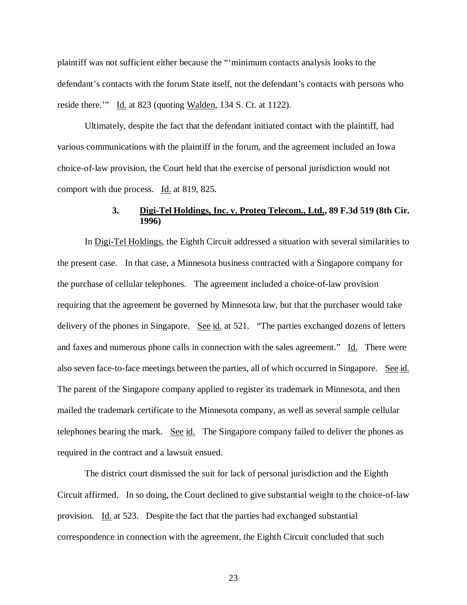plaintiff was not sufficient either because the "'minimum contacts analysis looks to the defendant's contacts with the forum State itself, not the defendant's contacts with persons who reside there." Id. at 823 (quoting Walden, 134 S. Ct. at 1122).

Ultimately, despite the fact that the defendant initiated contact with the plaintiff, had various communications with the plaintiff in the forum, and the agreement included an Iowa choice-of-law provision, the Court held that the exercise of personal jurisdiction would not comport with due process. Id. at 819, 825.

# **3. Digi-Tel Holdings, Inc. v. Proteq Telecom., Ltd., 89 F.3d 519 (8th Cir. 1996)**

In Digi-Tel Holdings, the Eighth Circuit addressed a situation with several similarities to the present case. In that case, a Minnesota business contracted with a Singapore company for the purchase of cellular telephones. The agreement included a choice-of-law provision requiring that the agreement be governed by Minnesota law, but that the purchaser would take delivery of the phones in Singapore. See id. at 521. "The parties exchanged dozens of letters and faxes and numerous phone calls in connection with the sales agreement." Id. There were also seven face-to-face meetings between the parties, all of which occurred in Singapore. See id. The parent of the Singapore company applied to register its trademark in Minnesota, and then mailed the trademark certificate to the Minnesota company, as well as several sample cellular telephones bearing the mark. See id. The Singapore company failed to deliver the phones as required in the contract and a lawsuit ensued.

The district court dismissed the suit for lack of personal jurisdiction and the Eighth Circuit affirmed. In so doing, the Court declined to give substantial weight to the choice-of-law provision. Id. at 523. Despite the fact that the parties had exchanged substantial correspondence in connection with the agreement, the Eighth Circuit concluded that such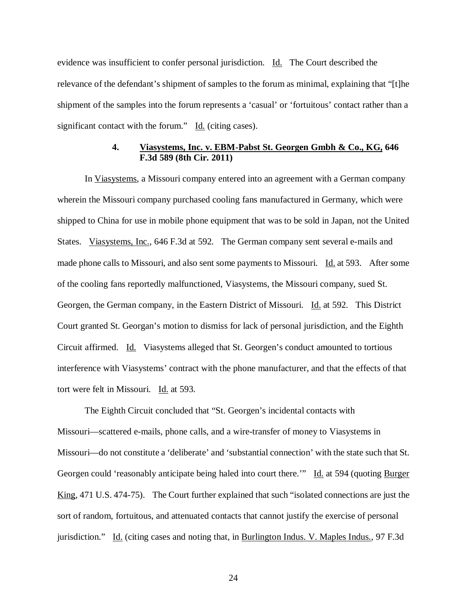evidence was insufficient to confer personal jurisdiction. Id. The Court described the relevance of the defendant's shipment of samples to the forum as minimal, explaining that "[t]he shipment of the samples into the forum represents a 'casual' or 'fortuitous' contact rather than a significant contact with the forum."  $\underline{Id}$ . (citing cases).

## **4. Viasystems, Inc. v. EBM-Pabst St. Georgen Gmbh & Co., KG, 646 F.3d 589 (8th Cir. 2011)**

In Viasystems, a Missouri company entered into an agreement with a German company wherein the Missouri company purchased cooling fans manufactured in Germany, which were shipped to China for use in mobile phone equipment that was to be sold in Japan, not the United States. Viasystems, Inc., 646 F.3d at 592. The German company sent several e-mails and made phone calls to Missouri, and also sent some payments to Missouri. Id. at 593. After some of the cooling fans reportedly malfunctioned, Viasystems, the Missouri company, sued St. Georgen, the German company, in the Eastern District of Missouri. Id. at 592. This District Court granted St. Georgan's motion to dismiss for lack of personal jurisdiction, and the Eighth Circuit affirmed. Id. Viasystems alleged that St. Georgen's conduct amounted to tortious interference with Viasystems' contract with the phone manufacturer, and that the effects of that tort were felt in Missouri. Id. at 593.

The Eighth Circuit concluded that "St. Georgen's incidental contacts with Missouri—scattered e-mails, phone calls, and a wire-transfer of money to Viasystems in Missouri—do not constitute a 'deliberate' and 'substantial connection' with the state such that St. Georgen could 'reasonably anticipate being haled into court there."" Id. at 594 (quoting Burger King, 471 U.S. 474-75). The Court further explained that such "isolated connections are just the sort of random, fortuitous, and attenuated contacts that cannot justify the exercise of personal jurisdiction." Id. (citing cases and noting that, in Burlington Indus. V. Maples Indus., 97 F.3d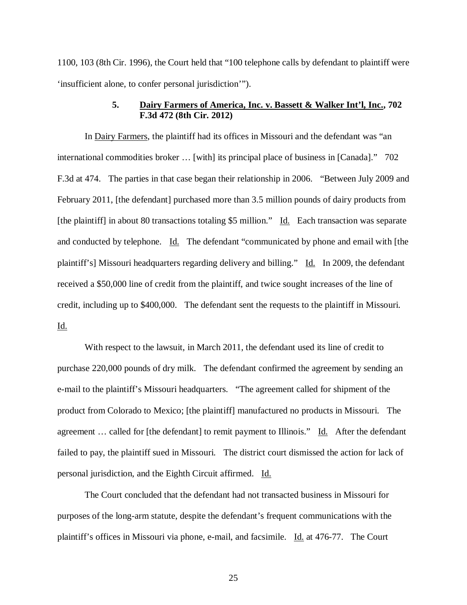1100, 103 (8th Cir. 1996), the Court held that "100 telephone calls by defendant to plaintiff were 'insufficient alone, to confer personal jurisdiction'").

## **5. Dairy Farmers of America, Inc. v. Bassett & Walker Int'l, Inc., 702 F.3d 472 (8th Cir. 2012)**

In Dairy Farmers, the plaintiff had its offices in Missouri and the defendant was "an international commodities broker … [with] its principal place of business in [Canada]." 702 F.3d at 474. The parties in that case began their relationship in 2006. "Between July 2009 and February 2011, [the defendant] purchased more than 3.5 million pounds of dairy products from [the plaintiff] in about 80 transactions totaling \$5 million." Id. Each transaction was separate and conducted by telephone. Id. The defendant "communicated by phone and email with [the plaintiff's] Missouri headquarters regarding delivery and billing." Id. In 2009, the defendant received a \$50,000 line of credit from the plaintiff, and twice sought increases of the line of credit, including up to \$400,000. The defendant sent the requests to the plaintiff in Missouri. Id.

With respect to the lawsuit, in March 2011, the defendant used its line of credit to purchase 220,000 pounds of dry milk. The defendant confirmed the agreement by sending an e-mail to the plaintiff's Missouri headquarters. "The agreement called for shipment of the product from Colorado to Mexico; [the plaintiff] manufactured no products in Missouri. The agreement ... called for [the defendant] to remit payment to Illinois." Id. After the defendant failed to pay, the plaintiff sued in Missouri. The district court dismissed the action for lack of personal jurisdiction, and the Eighth Circuit affirmed. Id.

The Court concluded that the defendant had not transacted business in Missouri for purposes of the long-arm statute, despite the defendant's frequent communications with the plaintiff's offices in Missouri via phone, e-mail, and facsimile. Id. at 476-77. The Court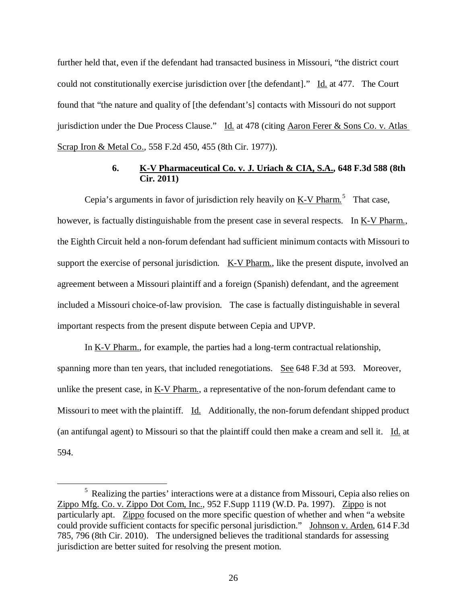further held that, even if the defendant had transacted business in Missouri, "the district court could not constitutionally exercise jurisdiction over [the defendant]." Id. at 477. The Court found that "the nature and quality of [the defendant's] contacts with Missouri do not support jurisdiction under the Due Process Clause." Id. at 478 (citing Aaron Ferer & Sons Co. v. Atlas Scrap Iron & Metal Co., 558 F.2d 450, 455 (8th Cir. 1977)).

# **6. K-V Pharmaceutical Co. v. J. Uriach & CIA, S.A., 648 F.3d 588 (8th Cir. 2011)**

Cepia's arguments in favor of jurisdiction rely heavily on  $\underline{K-V}$  Pharm.<sup>[5](#page-25-0)</sup> That case, however, is factually distinguishable from the present case in several respects. In K-V Pharm., the Eighth Circuit held a non-forum defendant had sufficient minimum contacts with Missouri to support the exercise of personal jurisdiction. K-V Pharm., like the present dispute, involved an agreement between a Missouri plaintiff and a foreign (Spanish) defendant, and the agreement included a Missouri choice-of-law provision. The case is factually distinguishable in several important respects from the present dispute between Cepia and UPVP.

In <u>K-V Pharm.</u>, for example, the parties had a long-term contractual relationship, spanning more than ten years, that included renegotiations. See 648 F.3d at 593. Moreover, unlike the present case, in  $K-V$  Pharm., a representative of the non-forum defendant came to Missouri to meet with the plaintiff. Id. Additionally, the non-forum defendant shipped product (an antifungal agent) to Missouri so that the plaintiff could then make a cream and sell it. Id. at 594.

<span id="page-25-0"></span><sup>&</sup>lt;sup>5</sup> Realizing the parties' interactions were at a distance from Missouri, Cepia also relies on Zippo Mfg. Co. v. Zippo Dot Com, Inc., 952 F.Supp 1119 (W.D. Pa. 1997). Zippo is not particularly apt. Zippo focused on the more specific question of whether and when "a website could provide sufficient contacts for specific personal jurisdiction." Johnson v. Arden, 614 F.3d 785, 796 (8th Cir. 2010). The undersigned believes the traditional standards for assessing jurisdiction are better suited for resolving the present motion.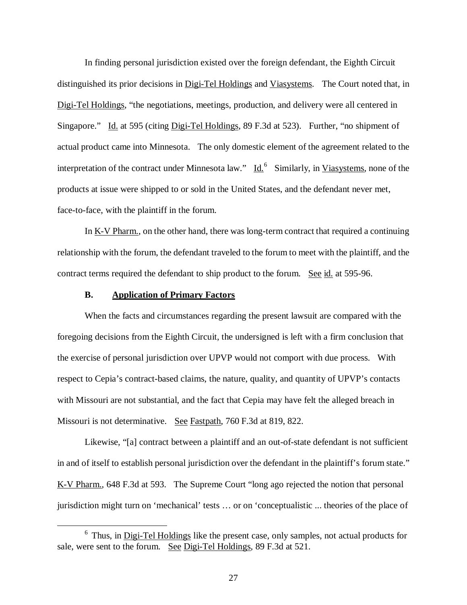In finding personal jurisdiction existed over the foreign defendant, the Eighth Circuit distinguished its prior decisions in Digi-Tel Holdings and Viasystems. The Court noted that, in Digi-Tel Holdings, "the negotiations, meetings, production, and delivery were all centered in Singapore." Id. at 595 (citing Digi-Tel Holdings, 89 F.3d at 523). Further, "no shipment of actual product came into Minnesota. The only domestic element of the agreement related to the interpretation of the contract under Minnesota law."  $\underline{Id.}^6$  $\underline{Id.}^6$  Similarly, in Viasystems, none of the products at issue were shipped to or sold in the United States, and the defendant never met, face-to-face, with the plaintiff in the forum.

In K-V Pharm., on the other hand, there was long-term contract that required a continuing relationship with the forum, the defendant traveled to the forum to meet with the plaintiff, and the contract terms required the defendant to ship product to the forum. See id. at 595-96.

## **B. Application of Primary Factors**

When the facts and circumstances regarding the present lawsuit are compared with the foregoing decisions from the Eighth Circuit, the undersigned is left with a firm conclusion that the exercise of personal jurisdiction over UPVP would not comport with due process. With respect to Cepia's contract-based claims, the nature, quality, and quantity of UPVP's contacts with Missouri are not substantial, and the fact that Cepia may have felt the alleged breach in Missouri is not determinative. See Fastpath, 760 F.3d at 819, 822.

Likewise, "[a] contract between a plaintiff and an out-of-state defendant is not sufficient in and of itself to establish personal jurisdiction over the defendant in the plaintiff's forum state." K-V Pharm., 648 F.3d at 593. The Supreme Court "long ago rejected the notion that personal jurisdiction might turn on 'mechanical' tests … or on 'conceptualistic ... theories of the place of

<span id="page-26-0"></span> $6$  Thus, in Digi-Tel Holdings like the present case, only samples, not actual products for sale, were sent to the forum. See Digi-Tel Holdings, 89 F.3d at 521.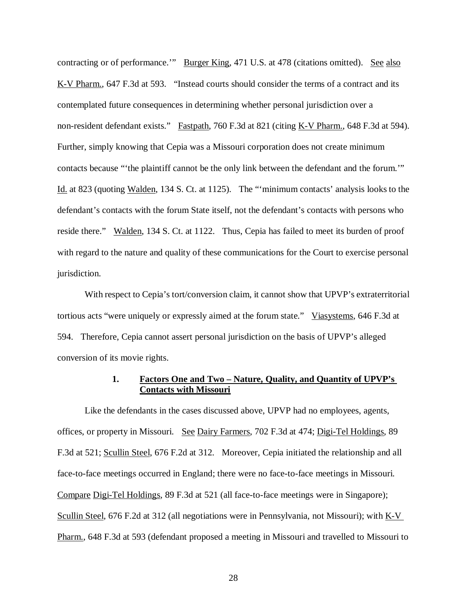contracting or of performance." Burger King, 471 U.S. at 478 (citations omitted). See also K-V Pharm., 647 F.3d at 593. "Instead courts should consider the terms of a contract and its contemplated future consequences in determining whether personal jurisdiction over a non-resident defendant exists." Fastpath, 760 F.3d at 821 (citing K-V Pharm., 648 F.3d at 594). Further, simply knowing that Cepia was a Missouri corporation does not create minimum contacts because "'the plaintiff cannot be the only link between the defendant and the forum.'" Id. at 823 (quoting Walden, 134 S. Ct. at 1125). The "'minimum contacts' analysis looks to the defendant's contacts with the forum State itself, not the defendant's contacts with persons who reside there." Walden, 134 S. Ct. at 1122. Thus, Cepia has failed to meet its burden of proof with regard to the nature and quality of these communications for the Court to exercise personal jurisdiction.

With respect to Cepia's tort/conversion claim, it cannot show that UPVP's extraterritorial tortious acts "were uniquely or expressly aimed at the forum state." Viasystems, 646 F.3d at 594. Therefore, Cepia cannot assert personal jurisdiction on the basis of UPVP's alleged conversion of its movie rights.

# **1. Factors One and Two – Nature, Quality, and Quantity of UPVP's Contacts with Missouri**

Like the defendants in the cases discussed above, UPVP had no employees, agents, offices, or property in Missouri. See Dairy Farmers, 702 F.3d at 474; Digi-Tel Holdings, 89 F.3d at 521; Scullin Steel, 676 F.2d at 312. Moreover, Cepia initiated the relationship and all face-to-face meetings occurred in England; there were no face-to-face meetings in Missouri. Compare Digi-Tel Holdings, 89 F.3d at 521 (all face-to-face meetings were in Singapore); Scullin Steel, 676 F.2d at 312 (all negotiations were in Pennsylvania, not Missouri); with K-V Pharm., 648 F.3d at 593 (defendant proposed a meeting in Missouri and travelled to Missouri to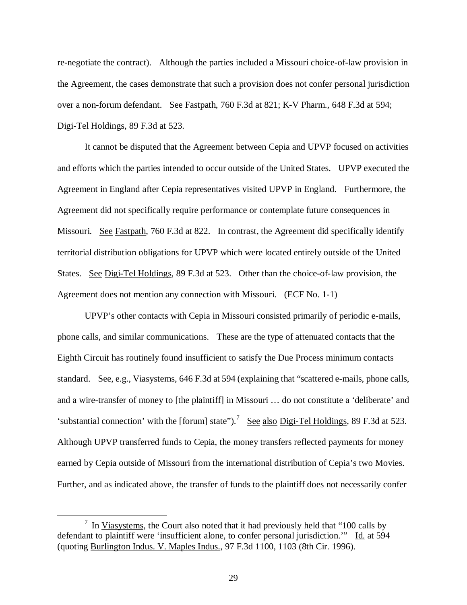re-negotiate the contract). Although the parties included a Missouri choice-of-law provision in the Agreement, the cases demonstrate that such a provision does not confer personal jurisdiction over a non-forum defendant. See Fastpath, 760 F.3d at 821; K-V Pharm., 648 F.3d at 594; Digi-Tel Holdings, 89 F.3d at 523.

It cannot be disputed that the Agreement between Cepia and UPVP focused on activities and efforts which the parties intended to occur outside of the United States. UPVP executed the Agreement in England after Cepia representatives visited UPVP in England. Furthermore, the Agreement did not specifically require performance or contemplate future consequences in Missouri. See Fastpath, 760 F.3d at 822. In contrast, the Agreement did specifically identify territorial distribution obligations for UPVP which were located entirely outside of the United States. See Digi-Tel Holdings, 89 F.3d at 523. Other than the choice-of-law provision, the Agreement does not mention any connection with Missouri. (ECF No. 1-1)

UPVP's other contacts with Cepia in Missouri consisted primarily of periodic e-mails, phone calls, and similar communications. These are the type of attenuated contacts that the Eighth Circuit has routinely found insufficient to satisfy the Due Process minimum contacts standard. See, e.g., Viasystems, 646 F.3d at 594 (explaining that "scattered e-mails, phone calls, and a wire-transfer of money to [the plaintiff] in Missouri … do not constitute a 'deliberate' and 'substantial connection' with the [forum] state").<sup>[7](#page-28-0)</sup> See also Digi-Tel Holdings, 89 F.3d at 523. Although UPVP transferred funds to Cepia, the money transfers reflected payments for money earned by Cepia outside of Missouri from the international distribution of Cepia's two Movies. Further, and as indicated above, the transfer of funds to the plaintiff does not necessarily confer

<span id="page-28-0"></span> $\frac{7}{1}$  In <u>Viasystems</u>, the Court also noted that it had previously held that "100 calls by defendant to plaintiff were 'insufficient alone, to confer personal jurisdiction.'" Id. at 594 (quoting Burlington Indus. V. Maples Indus., 97 F.3d 1100, 1103 (8th Cir. 1996).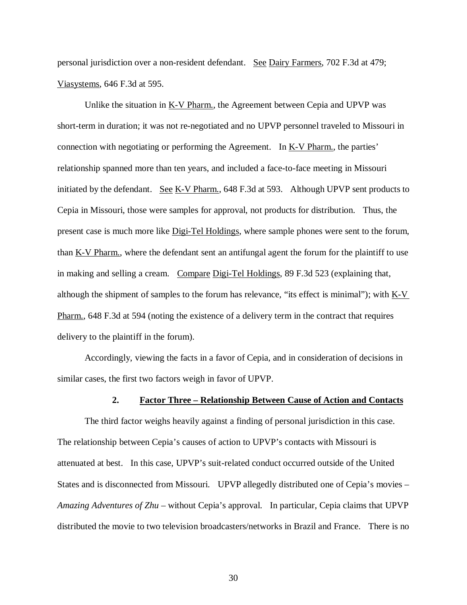personal jurisdiction over a non-resident defendant. See Dairy Farmers, 702 F.3d at 479; Viasystems, 646 F.3d at 595.

Unlike the situation in K-V Pharm., the Agreement between Cepia and UPVP was short-term in duration; it was not re-negotiated and no UPVP personnel traveled to Missouri in connection with negotiating or performing the Agreement. In <u>K-V Pharm.</u>, the parties' relationship spanned more than ten years, and included a face-to-face meeting in Missouri initiated by the defendant. See K-V Pharm., 648 F.3d at 593. Although UPVP sent products to Cepia in Missouri, those were samples for approval, not products for distribution. Thus, the present case is much more like Digi-Tel Holdings, where sample phones were sent to the forum, than K-V Pharm., where the defendant sent an antifungal agent the forum for the plaintiff to use in making and selling a cream. Compare Digi-Tel Holdings, 89 F.3d 523 (explaining that, although the shipment of samples to the forum has relevance, "its effect is minimal"); with K-V Pharm., 648 F.3d at 594 (noting the existence of a delivery term in the contract that requires delivery to the plaintiff in the forum).

Accordingly, viewing the facts in a favor of Cepia, and in consideration of decisions in similar cases, the first two factors weigh in favor of UPVP.

# **2. Factor Three – Relationship Between Cause of Action and Contacts**

The third factor weighs heavily against a finding of personal jurisdiction in this case. The relationship between Cepia's causes of action to UPVP's contacts with Missouri is attenuated at best. In this case, UPVP's suit-related conduct occurred outside of the United States and is disconnected from Missouri. UPVP allegedly distributed one of Cepia's movies – *Amazing Adventures of Zhu* – without Cepia's approval. In particular, Cepia claims that UPVP distributed the movie to two television broadcasters/networks in Brazil and France. There is no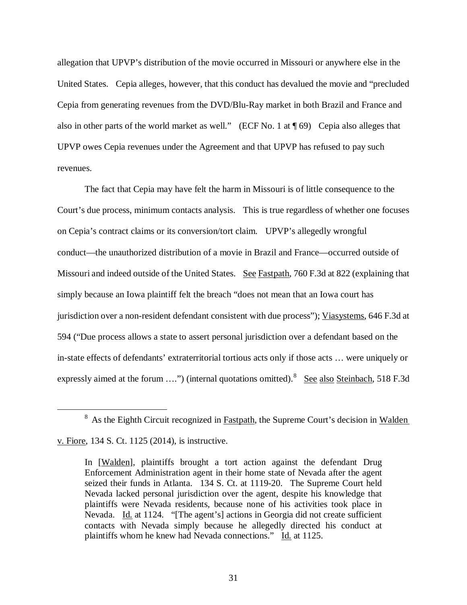allegation that UPVP's distribution of the movie occurred in Missouri or anywhere else in the United States. Cepia alleges, however, that this conduct has devalued the movie and "precluded Cepia from generating revenues from the DVD/Blu-Ray market in both Brazil and France and also in other parts of the world market as well." (ECF No. 1 at ¶ 69) Cepia also alleges that UPVP owes Cepia revenues under the Agreement and that UPVP has refused to pay such revenues.

The fact that Cepia may have felt the harm in Missouri is of little consequence to the Court's due process, minimum contacts analysis. This is true regardless of whether one focuses on Cepia's contract claims or its conversion/tort claim. UPVP's allegedly wrongful conduct—the unauthorized distribution of a movie in Brazil and France—occurred outside of Missouri and indeed outside of the United States. See Fastpath, 760 F.3d at 822 (explaining that simply because an Iowa plaintiff felt the breach "does not mean that an Iowa court has jurisdiction over a non-resident defendant consistent with due process"); Viasystems, 646 F.3d at 594 ("Due process allows a state to assert personal jurisdiction over a defendant based on the in-state effects of defendants' extraterritorial tortious acts only if those acts … were uniquely or expressly aimed at the forum ....") (internal quotations omitted). <sup>[8](#page-30-0)</sup> See also Steinbach, 518 F.3d

<span id="page-30-0"></span><sup>&</sup>lt;sup>8</sup> As the Eighth Circuit recognized in Fastpath, the Supreme Court's decision in Walden v. Fiore, 134 S. Ct. 1125 (2014), is instructive.

In [Walden], plaintiffs brought a tort action against the defendant Drug Enforcement Administration agent in their home state of Nevada after the agent seized their funds in Atlanta. 134 S. Ct. at 1119-20. The Supreme Court held Nevada lacked personal jurisdiction over the agent, despite his knowledge that plaintiffs were Nevada residents, because none of his activities took place in Nevada. Id. at 1124. "[The agent's] actions in Georgia did not create sufficient contacts with Nevada simply because he allegedly directed his conduct at plaintiffs whom he knew had Nevada connections." Id. at 1125.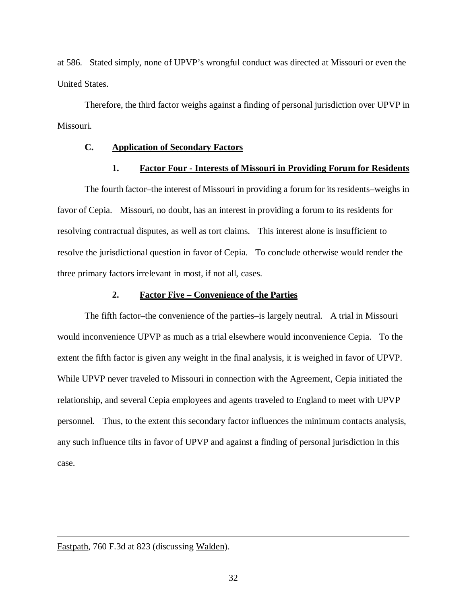at 586. Stated simply, none of UPVP's wrongful conduct was directed at Missouri or even the United States.

Therefore, the third factor weighs against a finding of personal jurisdiction over UPVP in Missouri.

# **C. Application of Secondary Factors**

## **1. Factor Four - Interests of Missouri in Providing Forum for Residents**

The fourth factor–the interest of Missouri in providing a forum for its residents–weighs in favor of Cepia. Missouri, no doubt, has an interest in providing a forum to its residents for resolving contractual disputes, as well as tort claims. This interest alone is insufficient to resolve the jurisdictional question in favor of Cepia. To conclude otherwise would render the three primary factors irrelevant in most, if not all, cases.

### **2. Factor Five – Convenience of the Parties**

The fifth factor–the convenience of the parties–is largely neutral. A trial in Missouri would inconvenience UPVP as much as a trial elsewhere would inconvenience Cepia. To the extent the fifth factor is given any weight in the final analysis, it is weighed in favor of UPVP. While UPVP never traveled to Missouri in connection with the Agreement, Cepia initiated the relationship, and several Cepia employees and agents traveled to England to meet with UPVP personnel. Thus, to the extent this secondary factor influences the minimum contacts analysis, any such influence tilts in favor of UPVP and against a finding of personal jurisdiction in this case.

Fastpath, 760 F.3d at 823 (discussing Walden).

Ĩ.